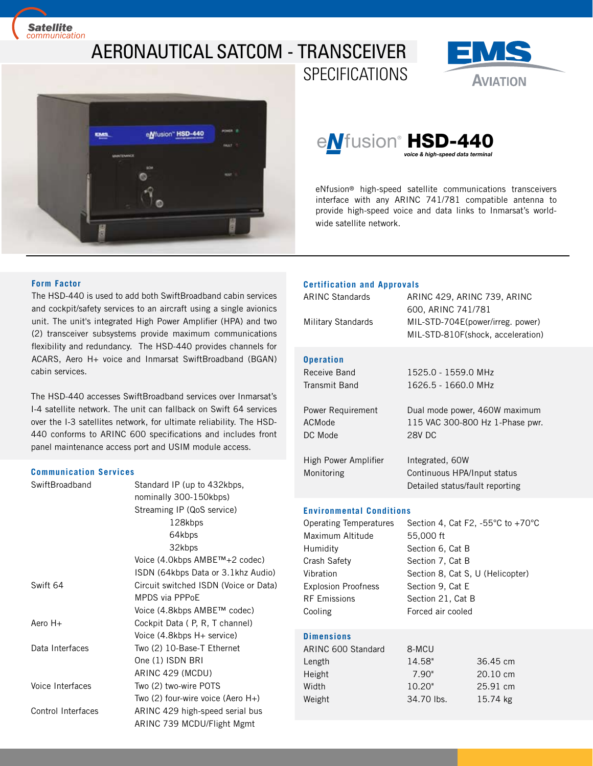*Satellite [communication](https://www.satcom.pro)*

# AERONAUTICAL SATCOM - TRANSCEIVER **SPECIFICATIONS**



# e*N*fusion® HSD-440 *voice & high-speed data terminal*

eNfusion® high-speed satellite communications transceivers interface with any ARINC 741/781 compatible antenna to provide high-speed voice and data links to Inmarsat's worldwide satellite network.

**AVIATION** 

# **Form Factor**

The HSD-440 is used to add both SwiftBroadband cabin services and cockpit/safety services to an aircraft using a single avionics unit. The unit's integrated High Power Amplifier (HPA) and two (2) transceiver subsystems provide maximum communications flexibility and redundancy. The HSD-440 provides channels for ACARS, Aero H+ voice and Inmarsat SwiftBroadband (BGAN) cabin services.

The HSD-440 accesses SwiftBroadband services over Inmarsat's I-4 satellite network. The unit can fallback on Swift 64 services over the I-3 satellites network, for ultimate reliability. The HSD-440 conforms to ARINC 600 specifications and includes front panel maintenance access port and USIM module access.

### **Communication Services**

| SwiftBroadband     | Standard IP (up to 432kbps,           |  |
|--------------------|---------------------------------------|--|
|                    | nominally 300-150kbps)                |  |
|                    | Streaming IP (QoS service)            |  |
|                    | 128kbps                               |  |
|                    | 64kbps                                |  |
|                    | 32kbps                                |  |
|                    | Voice (4.0kbps AMBE™+2 codec)         |  |
|                    | ISDN (64kbps Data or 3.1khz Audio)    |  |
| Swift 64           | Circuit switched ISDN (Voice or Data) |  |
|                    | <b>MPDS</b> via PPPoE                 |  |
|                    | Voice (4.8kbps AMBE™ codec)           |  |
| Aero $H+$          | Cockpit Data (P, R, T channel)        |  |
|                    | Voice (4.8kbps H+ service)            |  |
| Data Interfaces    | Two (2) 10-Base-T Ethernet            |  |
|                    | One (1) ISDN BRI                      |  |
|                    | ARINC 429 (MCDU)                      |  |
| Voice Interfaces   | Two (2) two-wire POTS                 |  |
|                    | Two $(2)$ four-wire voice (Aero H+)   |  |
| Control Interfaces | ARINC 429 high-speed serial bus       |  |
|                    | ARINC 739 MCDU/Flight Mgmt            |  |

### **Certification and Approvals**

| <b>ARINC Standards</b>                 | ARINC 429, ARINC 739, ARINC<br>600, ARINC 741/781                                 |
|----------------------------------------|-----------------------------------------------------------------------------------|
| Military Standards                     | MIL-STD-704E(power/irreg. power)<br>MIL-STD-810F(shock, acceleration)             |
| <b>Operation</b>                       |                                                                                   |
| Receive Band                           | 1525.0 - 1559.0 MHz                                                               |
| Transmit Band                          | 1626.5 - 1660.0 MHz                                                               |
| Power Requirement<br>ACMode<br>DC Mode | Dual mode power, 460W maximum<br>115 VAC 300-800 Hz 1-Phase pwr.<br><b>28V DC</b> |
| High Power Amplifier                   | Integrated, 60W                                                                   |
| Monitoring                             | Continuous HPA/Input status<br>Detailed status/fault reporting                    |
| Environmontal Conditional              |                                                                                   |

#### **Environmental Conditions**

| Operating Temperatures     | Section 4, Cat F2, -55 $\degree$ C to +70 $\degree$ C |
|----------------------------|-------------------------------------------------------|
| Maximum Altitude           | 55,000 ft                                             |
| Humidity                   | Section 6, Cat B                                      |
| Crash Safety               | Section 7, Cat B                                      |
| Vibration                  | Section 8, Cat S, U (Helicopter)                      |
| <b>Explosion Proofness</b> | Section 9, Cat E                                      |
| <b>RF Emissions</b>        | Section 21, Cat B                                     |
| Cooling                    | Forced air cooled                                     |
|                            |                                                       |

# **Dimensions**

| 14.58"<br>Length<br>7.90"<br>Height<br>10.20"<br>Width | ARINC 600 Standard | 8-MCU      |                    |
|--------------------------------------------------------|--------------------|------------|--------------------|
|                                                        |                    |            | 36.45 cm           |
|                                                        |                    |            | $20.10 \text{ cm}$ |
|                                                        |                    |            | 25.91 cm           |
|                                                        | Weight             | 34.70 lbs. | 15.74 kg           |